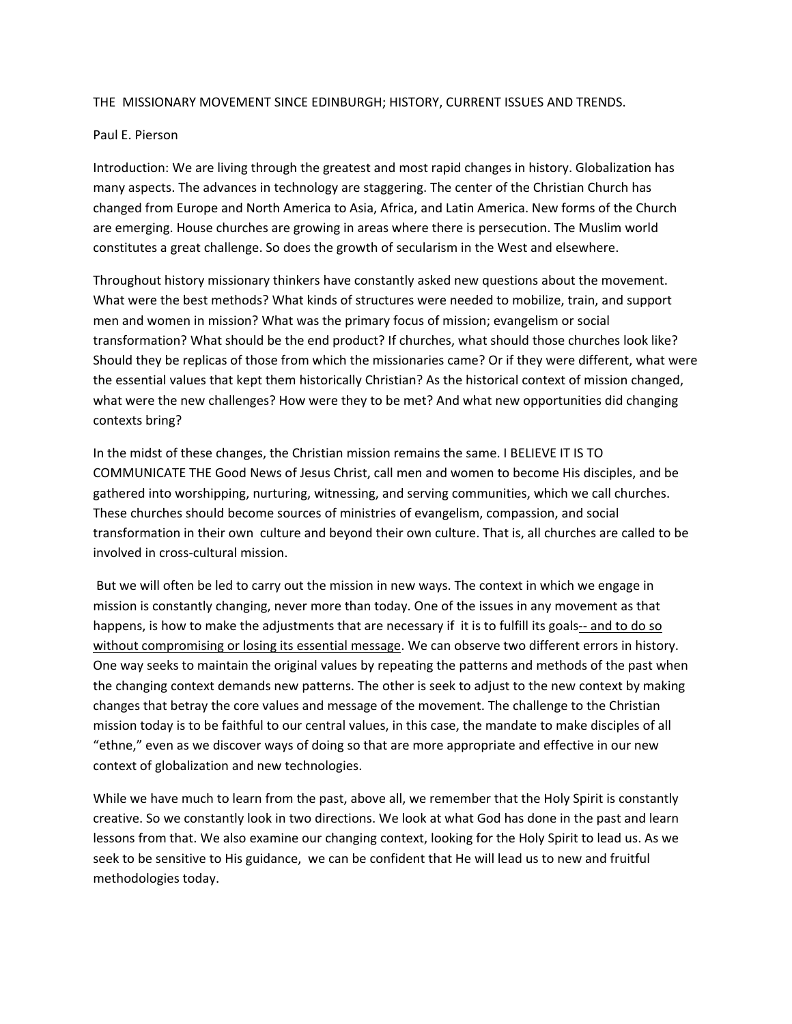## THE MISSIONARY MOVEMENT SINCE EDINBURGH; HISTORY, CURRENT ISSUES AND TRENDS.

## Paul E. Pierson

Introduction: We are living through the greatest and most rapid changes in history. Globalization has many aspects. The advances in technology are staggering. The center of the Christian Church has changed from Europe and North America to Asia, Africa, and Latin America. New forms of the Church are emerging. House churches are growing in areas where there is persecution. The Muslim world constitutes a great challenge. So does the growth of secularism in the West and elsewhere.

Throughout history missionary thinkers have constantly asked new questions about the movement. What were the best methods? What kinds of structures were needed to mobilize, train, and support men and women in mission? What was the primary focus of mission; evangelism or social transformation? What should be the end product? If churches, what should those churches look like? Should they be replicas of those from which the missionaries came? Or if they were different, what were the essential values that kept them historically Christian? As the historical context of mission changed, what were the new challenges? How were they to be met? And what new opportunities did changing contexts bring?

In the midst of these changes, the Christian mission remains the same. I BELIEVE IT IS TO COMMUNICATE THE Good News of Jesus Christ, call men and women to become His disciples, and be gathered into worshipping, nurturing, witnessing, and serving communities, which we call churches. These churches should become sources of ministries of evangelism, compassion, and social transformation in their own culture and beyond their own culture. That is, all churches are called to be involved in cross‐cultural mission.

But we will often be led to carry out the mission in new ways. The context in which we engage in mission is constantly changing, never more than today. One of the issues in any movement as that happens, is how to make the adjustments that are necessary if it is to fulfill its goals-- and to do so without compromising or losing its essential message. We can observe two different errors in history. One way seeks to maintain the original values by repeating the patterns and methods of the past when the changing context demands new patterns. The other is seek to adjust to the new context by making changes that betray the core values and message of the movement. The challenge to the Christian mission today is to be faithful to our central values, in this case, the mandate to make disciples of all "ethne," even as we discover ways of doing so that are more appropriate and effective in our new context of globalization and new technologies.

While we have much to learn from the past, above all, we remember that the Holy Spirit is constantly creative. So we constantly look in two directions. We look at what God has done in the past and learn lessons from that. We also examine our changing context, looking for the Holy Spirit to lead us. As we seek to be sensitive to His guidance, we can be confident that He will lead us to new and fruitful methodologies today.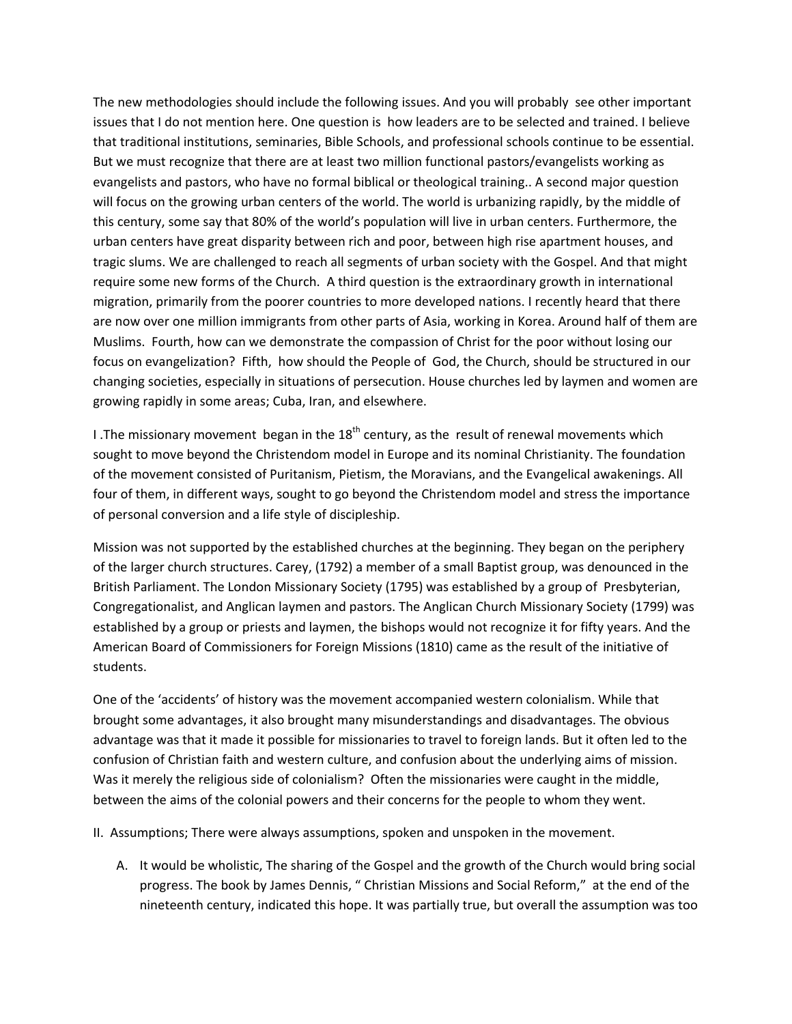The new methodologies should include the following issues. And you will probably see other important issues that I do not mention here. One question is how leaders are to be selected and trained. I believe that traditional institutions, seminaries, Bible Schools, and professional schools continue to be essential. But we must recognize that there are at least two million functional pastors/evangelists working as evangelists and pastors, who have no formal biblical or theological training.. A second major question will focus on the growing urban centers of the world. The world is urbanizing rapidly, by the middle of this century, some say that 80% of the world's population will live in urban centers. Furthermore, the urban centers have great disparity between rich and poor, between high rise apartment houses, and tragic slums. We are challenged to reach all segments of urban society with the Gospel. And that might require some new forms of the Church. A third question is the extraordinary growth in international migration, primarily from the poorer countries to more developed nations. I recently heard that there are now over one million immigrants from other parts of Asia, working in Korea. Around half of them are Muslims. Fourth, how can we demonstrate the compassion of Christ for the poor without losing our focus on evangelization? Fifth, how should the People of God, the Church, should be structured in our changing societies, especially in situations of persecution. House churches led by laymen and women are growing rapidly in some areas; Cuba, Iran, and elsewhere.

I. The missionary movement began in the  $18<sup>th</sup>$  century, as the result of renewal movements which sought to move beyond the Christendom model in Europe and its nominal Christianity. The foundation of the movement consisted of Puritanism, Pietism, the Moravians, and the Evangelical awakenings. All four of them, in different ways, sought to go beyond the Christendom model and stress the importance of personal conversion and a life style of discipleship.

Mission was not supported by the established churches at the beginning. They began on the periphery of the larger church structures. Carey, (1792) a member of a small Baptist group, was denounced in the British Parliament. The London Missionary Society (1795) was established by a group of Presbyterian, Congregationalist, and Anglican laymen and pastors. The Anglican Church Missionary Society (1799) was established by a group or priests and laymen, the bishops would not recognize it for fifty years. And the American Board of Commissioners for Foreign Missions (1810) came as the result of the initiative of students.

One of the 'accidents' of history was the movement accompanied western colonialism. While that brought some advantages, it also brought many misunderstandings and disadvantages. The obvious advantage was that it made it possible for missionaries to travel to foreign lands. But it often led to the confusion of Christian faith and western culture, and confusion about the underlying aims of mission. Was it merely the religious side of colonialism? Often the missionaries were caught in the middle, between the aims of the colonial powers and their concerns for the people to whom they went.

II. Assumptions; There were always assumptions, spoken and unspoken in the movement.

A. It would be wholistic, The sharing of the Gospel and the growth of the Church would bring social progress. The book by James Dennis, " Christian Missions and Social Reform," at the end of the nineteenth century, indicated this hope. It was partially true, but overall the assumption was too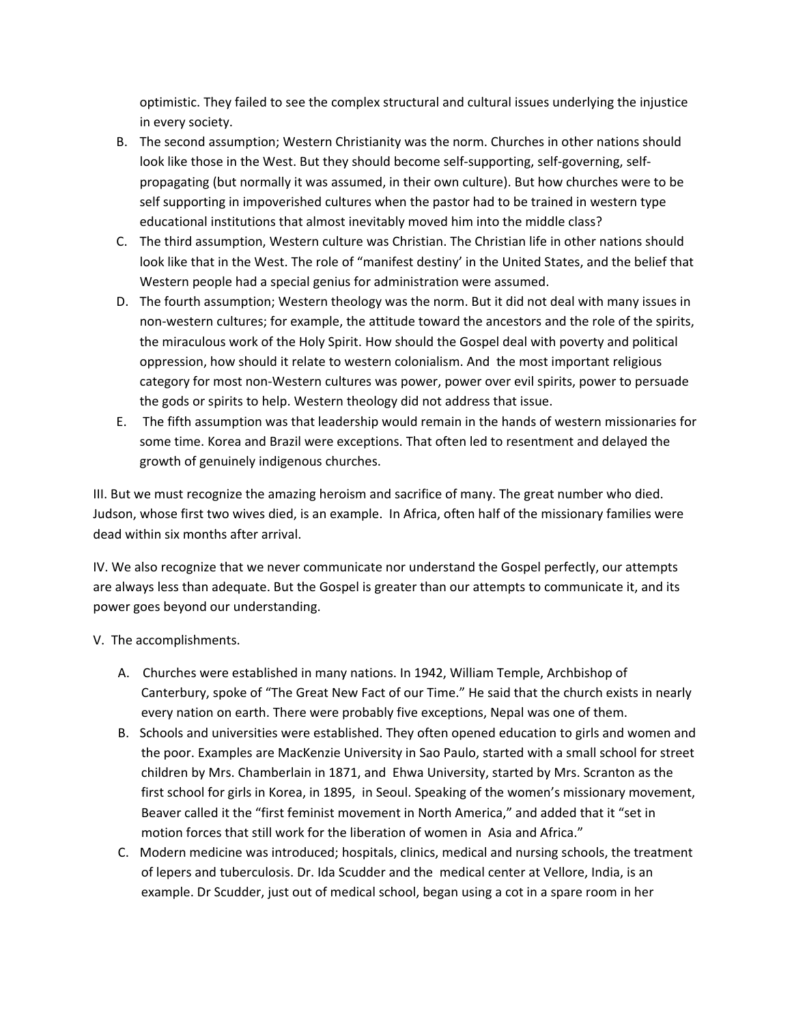optimistic. They failed to see the complex structural and cultural issues underlying the injustice in every society.

- B. The second assumption; Western Christianity was the norm. Churches in other nations should look like those in the West. But they should become self‐supporting, self‐governing, self‐ propagating (but normally it was assumed, in their own culture). But how churches were to be self supporting in impoverished cultures when the pastor had to be trained in western type educational institutions that almost inevitably moved him into the middle class?
- C. The third assumption, Western culture was Christian. The Christian life in other nations should look like that in the West. The role of "manifest destiny' in the United States, and the belief that Western people had a special genius for administration were assumed.
- D. The fourth assumption; Western theology was the norm. But it did not deal with many issues in non‐western cultures; for example, the attitude toward the ancestors and the role of the spirits, the miraculous work of the Holy Spirit. How should the Gospel deal with poverty and political oppression, how should it relate to western colonialism. And the most important religious category for most non‐Western cultures was power, power over evil spirits, power to persuade the gods or spirits to help. Western theology did not address that issue.
- E. The fifth assumption was that leadership would remain in the hands of western missionaries for some time. Korea and Brazil were exceptions. That often led to resentment and delayed the growth of genuinely indigenous churches.

III. But we must recognize the amazing heroism and sacrifice of many. The great number who died. Judson, whose first two wives died, is an example. In Africa, often half of the missionary families were dead within six months after arrival.

IV. We also recognize that we never communicate nor understand the Gospel perfectly, our attempts are always less than adequate. But the Gospel is greater than our attempts to communicate it, and its power goes beyond our understanding.

- V. The accomplishments.
	- A. Churches were established in many nations. In 1942, William Temple, Archbishop of Canterbury, spoke of "The Great New Fact of our Time." He said that the church exists in nearly every nation on earth. There were probably five exceptions, Nepal was one of them.
	- B. Schools and universities were established. They often opened education to girls and women and the poor. Examples are MacKenzie University in Sao Paulo, started with a small school for street children by Mrs. Chamberlain in 1871, and Ehwa University, started by Mrs. Scranton as the first school for girls in Korea, in 1895, in Seoul. Speaking of the women's missionary movement, Beaver called it the "first feminist movement in North America," and added that it "set in motion forces that still work for the liberation of women in Asia and Africa."
	- C. Modern medicine was introduced; hospitals, clinics, medical and nursing schools, the treatment of lepers and tuberculosis. Dr. Ida Scudder and the medical center at Vellore, India, is an example. Dr Scudder, just out of medical school, began using a cot in a spare room in her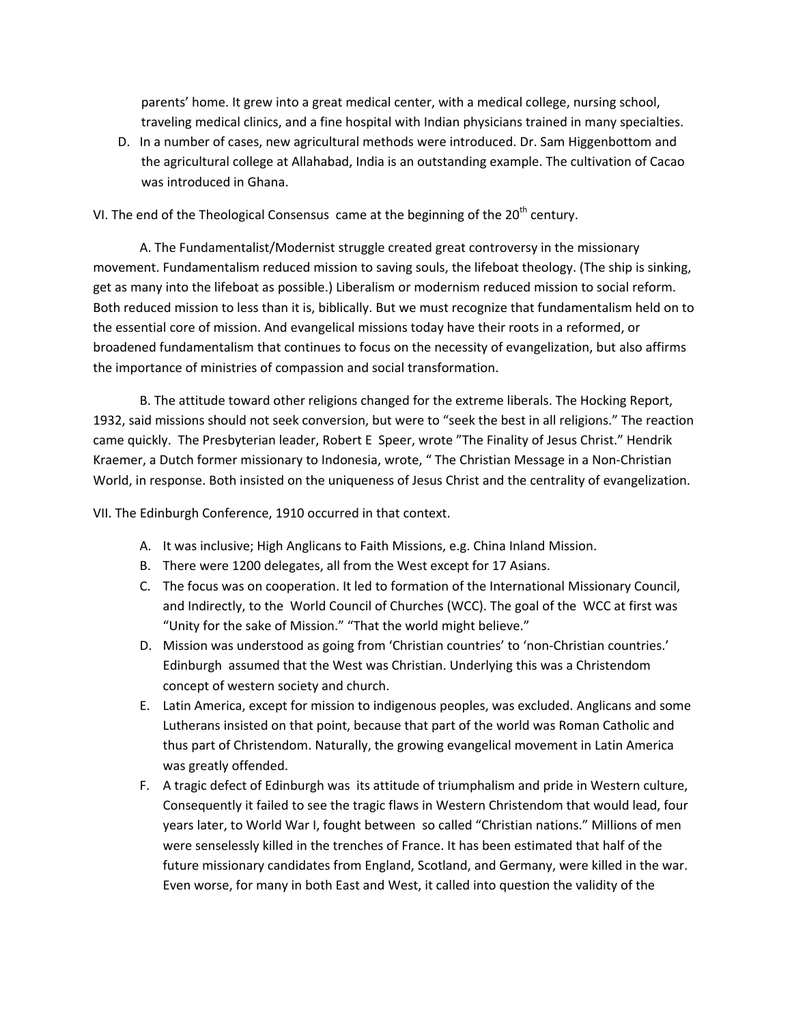parents' home. It grew into a great medical center, with a medical college, nursing school, traveling medical clinics, and a fine hospital with Indian physicians trained in many specialties.

D. In a number of cases, new agricultural methods were introduced. Dr. Sam Higgenbottom and the agricultural college at Allahabad, India is an outstanding example. The cultivation of Cacao was introduced in Ghana.

VI. The end of the Theological Consensus came at the beginning of the  $20<sup>th</sup>$  century.

A. The Fundamentalist/Modernist struggle created great controversy in the missionary movement. Fundamentalism reduced mission to saving souls, the lifeboat theology. (The ship is sinking, get as many into the lifeboat as possible.) Liberalism or modernism reduced mission to social reform. Both reduced mission to less than it is, biblically. But we must recognize that fundamentalism held on to the essential core of mission. And evangelical missions today have their roots in a reformed, or broadened fundamentalism that continues to focus on the necessity of evangelization, but also affirms the importance of ministries of compassion and social transformation.

B. The attitude toward other religions changed for the extreme liberals. The Hocking Report, 1932, said missions should not seek conversion, but were to "seek the best in all religions." The reaction came quickly. The Presbyterian leader, Robert E Speer, wrote "The Finality of Jesus Christ." Hendrik Kraemer, a Dutch former missionary to Indonesia, wrote, " The Christian Message in a Non‐Christian World, in response. Both insisted on the uniqueness of Jesus Christ and the centrality of evangelization.

VII. The Edinburgh Conference, 1910 occurred in that context.

- A. It was inclusive; High Anglicans to Faith Missions, e.g. China Inland Mission.
- B. There were 1200 delegates, all from the West except for 17 Asians.
- C. The focus was on cooperation. It led to formation of the International Missionary Council, and Indirectly, to the World Council of Churches (WCC). The goal of the WCC at first was "Unity for the sake of Mission." "That the world might believe."
- D. Mission was understood as going from 'Christian countries' to 'non‐Christian countries.' Edinburgh assumed that the West was Christian. Underlying this was a Christendom concept of western society and church.
- E. Latin America, except for mission to indigenous peoples, was excluded. Anglicans and some Lutherans insisted on that point, because that part of the world was Roman Catholic and thus part of Christendom. Naturally, the growing evangelical movement in Latin America was greatly offended.
- F. A tragic defect of Edinburgh was its attitude of triumphalism and pride in Western culture, Consequently it failed to see the tragic flaws in Western Christendom that would lead, four years later, to World War I, fought between so called "Christian nations." Millions of men were senselessly killed in the trenches of France. It has been estimated that half of the future missionary candidates from England, Scotland, and Germany, were killed in the war. Even worse, for many in both East and West, it called into question the validity of the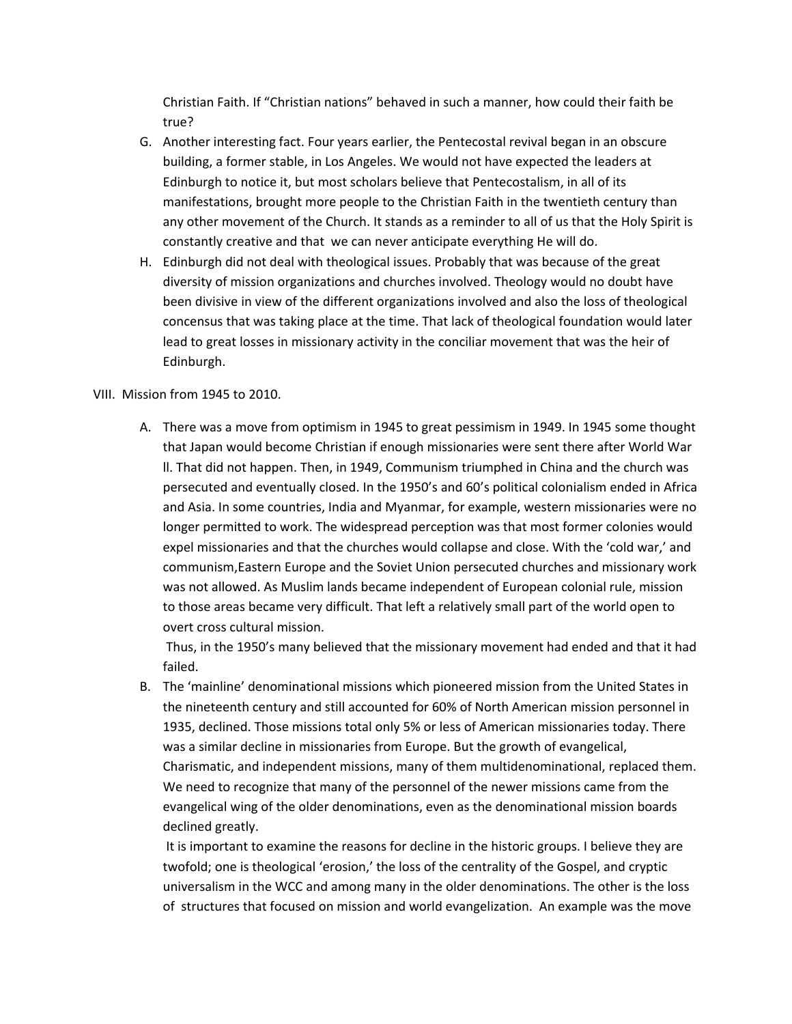Christian Faith. If "Christian nations" behaved in such a manner, how could their faith be true?

- G. Another interesting fact. Four years earlier, the Pentecostal revival began in an obscure building, a former stable, in Los Angeles. We would not have expected the leaders at Edinburgh to notice it, but most scholars believe that Pentecostalism, in all of its manifestations, brought more people to the Christian Faith in the twentieth century than any other movement of the Church. It stands as a reminder to all of us that the Holy Spirit is constantly creative and that we can never anticipate everything He will do.
- H. Edinburgh did not deal with theological issues. Probably that was because of the great diversity of mission organizations and churches involved. Theology would no doubt have been divisive in view of the different organizations involved and also the loss of theological concensus that was taking place at the time. That lack of theological foundation would later lead to great losses in missionary activity in the conciliar movement that was the heir of Edinburgh.

## VIII. Mission from 1945 to 2010.

A. There was a move from optimism in 1945 to great pessimism in 1949. In 1945 some thought that Japan would become Christian if enough missionaries were sent there after World War ll. That did not happen. Then, in 1949, Communism triumphed in China and the church was persecuted and eventually closed. In the 1950's and 60's political colonialism ended in Africa and Asia. In some countries, India and Myanmar, for example, western missionaries were no longer permitted to work. The widespread perception was that most former colonies would expel missionaries and that the churches would collapse and close. With the 'cold war,' and communism,Eastern Europe and the Soviet Union persecuted churches and missionary work was not allowed. As Muslim lands became independent of European colonial rule, mission to those areas became very difficult. That left a relatively small part of the world open to overt cross cultural mission.

Thus, in the 1950's many believed that the missionary movement had ended and that it had failed.

B. The 'mainline' denominational missions which pioneered mission from the United States in the nineteenth century and still accounted for 60% of North American mission personnel in 1935, declined. Those missions total only 5% or less of American missionaries today. There was a similar decline in missionaries from Europe. But the growth of evangelical, Charismatic, and independent missions, many of them multidenominational, replaced them. We need to recognize that many of the personnel of the newer missions came from the evangelical wing of the older denominations, even as the denominational mission boards declined greatly.

It is important to examine the reasons for decline in the historic groups. I believe they are twofold; one is theological 'erosion,' the loss of the centrality of the Gospel, and cryptic universalism in the WCC and among many in the older denominations. The other is the loss of structures that focused on mission and world evangelization. An example was the move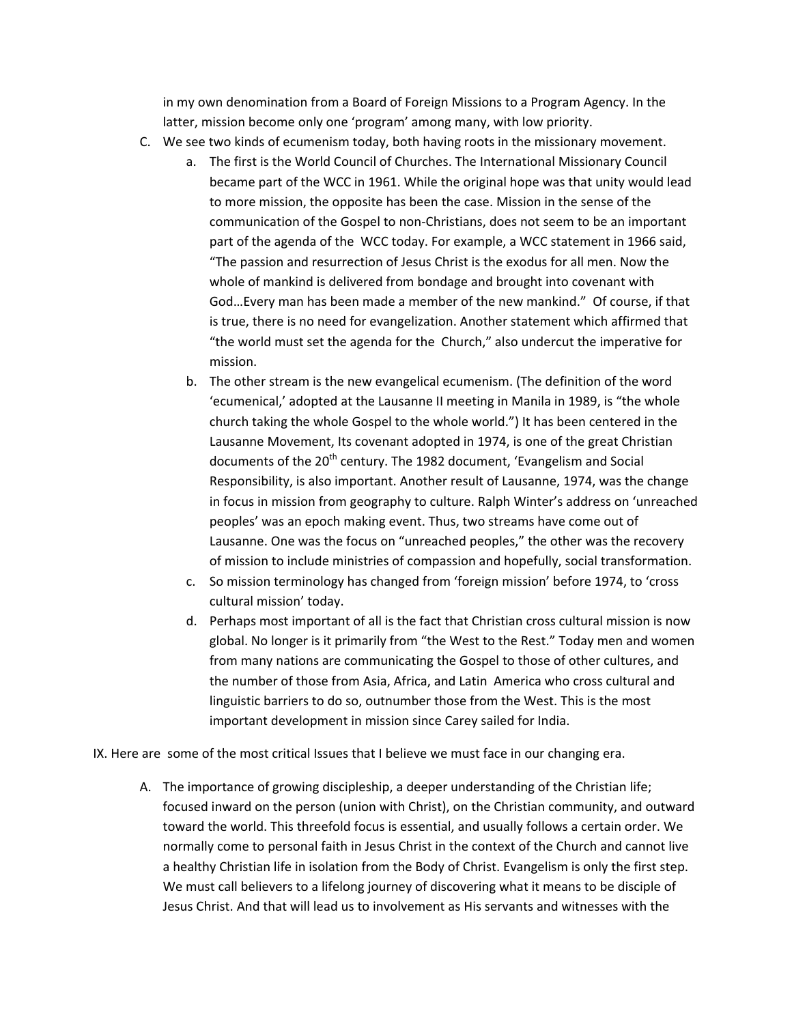in my own denomination from a Board of Foreign Missions to a Program Agency. In the latter, mission become only one 'program' among many, with low priority.

- C. We see two kinds of ecumenism today, both having roots in the missionary movement.
	- a. The first is the World Council of Churches. The International Missionary Council became part of the WCC in 1961. While the original hope was that unity would lead to more mission, the opposite has been the case. Mission in the sense of the communication of the Gospel to non‐Christians, does not seem to be an important part of the agenda of the WCC today. For example, a WCC statement in 1966 said, "The passion and resurrection of Jesus Christ is the exodus for all men. Now the whole of mankind is delivered from bondage and brought into covenant with God…Every man has been made a member of the new mankind." Of course, if that is true, there is no need for evangelization. Another statement which affirmed that "the world must set the agenda for the Church," also undercut the imperative for mission.
	- b. The other stream is the new evangelical ecumenism. (The definition of the word 'ecumenical,' adopted at the Lausanne II meeting in Manila in 1989, is "the whole church taking the whole Gospel to the whole world.") It has been centered in the Lausanne Movement, Its covenant adopted in 1974, is one of the great Christian documents of the 20<sup>th</sup> century. The 1982 document, 'Evangelism and Social Responsibility, is also important. Another result of Lausanne, 1974, was the change in focus in mission from geography to culture. Ralph Winter's address on 'unreached peoples' was an epoch making event. Thus, two streams have come out of Lausanne. One was the focus on "unreached peoples," the other was the recovery of mission to include ministries of compassion and hopefully, social transformation.
	- c. So mission terminology has changed from 'foreign mission' before 1974, to 'cross cultural mission' today.
	- d. Perhaps most important of all is the fact that Christian cross cultural mission is now global. No longer is it primarily from "the West to the Rest." Today men and women from many nations are communicating the Gospel to those of other cultures, and the number of those from Asia, Africa, and Latin America who cross cultural and linguistic barriers to do so, outnumber those from the West. This is the most important development in mission since Carey sailed for India.

IX. Here are some of the most critical Issues that I believe we must face in our changing era.

A. The importance of growing discipleship, a deeper understanding of the Christian life; focused inward on the person (union with Christ), on the Christian community, and outward toward the world. This threefold focus is essential, and usually follows a certain order. We normally come to personal faith in Jesus Christ in the context of the Church and cannot live a healthy Christian life in isolation from the Body of Christ. Evangelism is only the first step. We must call believers to a lifelong journey of discovering what it means to be disciple of Jesus Christ. And that will lead us to involvement as His servants and witnesses with the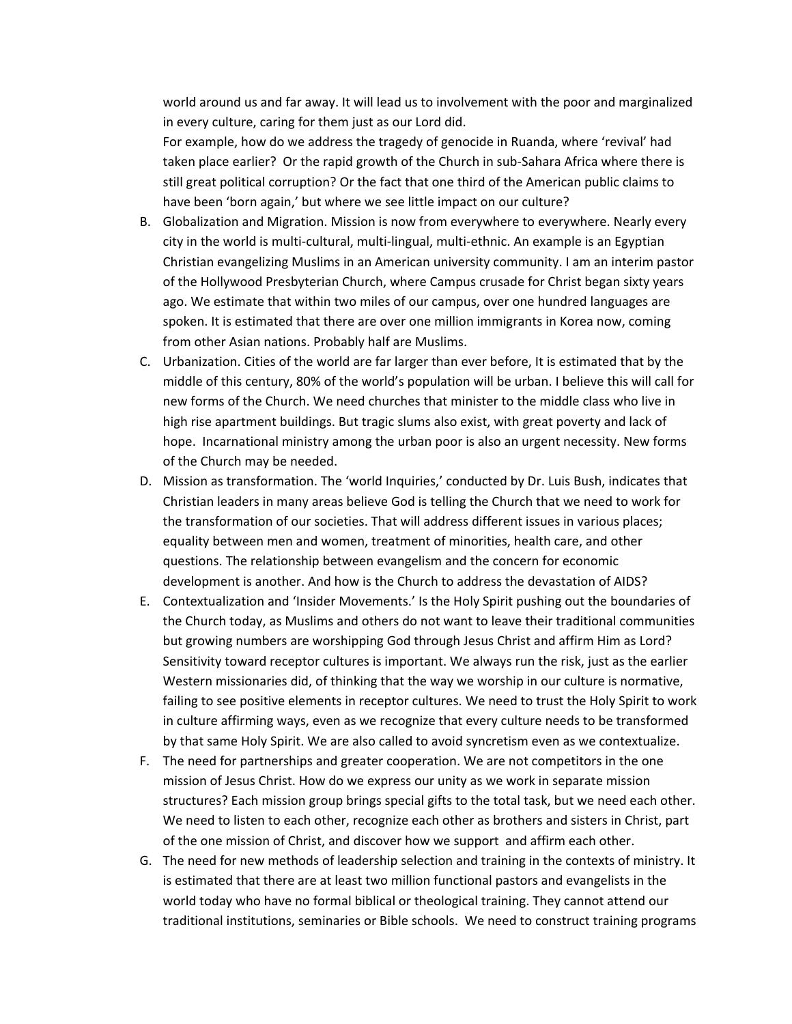world around us and far away. It will lead us to involvement with the poor and marginalized in every culture, caring for them just as our Lord did.

For example, how do we address the tragedy of genocide in Ruanda, where 'revival' had taken place earlier? Or the rapid growth of the Church in sub‐Sahara Africa where there is still great political corruption? Or the fact that one third of the American public claims to have been 'born again,' but where we see little impact on our culture?

- B. Globalization and Migration. Mission is now from everywhere to everywhere. Nearly every city in the world is multi‐cultural, multi‐lingual, multi‐ethnic. An example is an Egyptian Christian evangelizing Muslims in an American university community. I am an interim pastor of the Hollywood Presbyterian Church, where Campus crusade for Christ began sixty years ago. We estimate that within two miles of our campus, over one hundred languages are spoken. It is estimated that there are over one million immigrants in Korea now, coming from other Asian nations. Probably half are Muslims.
- C. Urbanization. Cities of the world are far larger than ever before, It is estimated that by the middle of this century, 80% of the world's population will be urban. I believe this will call for new forms of the Church. We need churches that minister to the middle class who live in high rise apartment buildings. But tragic slums also exist, with great poverty and lack of hope. Incarnational ministry among the urban poor is also an urgent necessity. New forms of the Church may be needed.
- D. Mission as transformation. The 'world Inquiries,' conducted by Dr. Luis Bush, indicates that Christian leaders in many areas believe God is telling the Church that we need to work for the transformation of our societies. That will address different issues in various places; equality between men and women, treatment of minorities, health care, and other questions. The relationship between evangelism and the concern for economic development is another. And how is the Church to address the devastation of AIDS?
- E. Contextualization and 'Insider Movements.' Is the Holy Spirit pushing out the boundaries of the Church today, as Muslims and others do not want to leave their traditional communities but growing numbers are worshipping God through Jesus Christ and affirm Him as Lord? Sensitivity toward receptor cultures is important. We always run the risk, just as the earlier Western missionaries did, of thinking that the way we worship in our culture is normative, failing to see positive elements in receptor cultures. We need to trust the Holy Spirit to work in culture affirming ways, even as we recognize that every culture needs to be transformed by that same Holy Spirit. We are also called to avoid syncretism even as we contextualize.
- F. The need for partnerships and greater cooperation. We are not competitors in the one mission of Jesus Christ. How do we express our unity as we work in separate mission structures? Each mission group brings special gifts to the total task, but we need each other. We need to listen to each other, recognize each other as brothers and sisters in Christ, part of the one mission of Christ, and discover how we support and affirm each other.
- G. The need for new methods of leadership selection and training in the contexts of ministry. It is estimated that there are at least two million functional pastors and evangelists in the world today who have no formal biblical or theological training. They cannot attend our traditional institutions, seminaries or Bible schools. We need to construct training programs